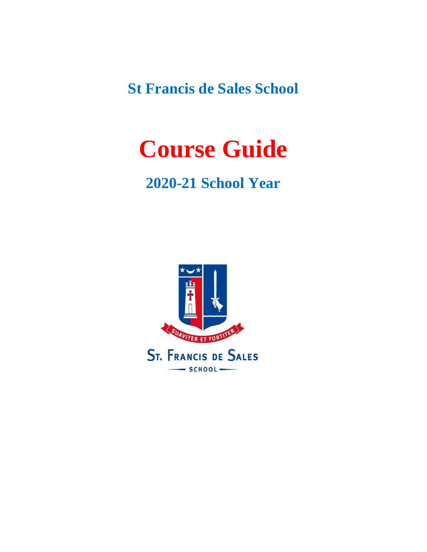**St Francis de Sales School**

# **Course Guide**

#### **2020-21 School Year**

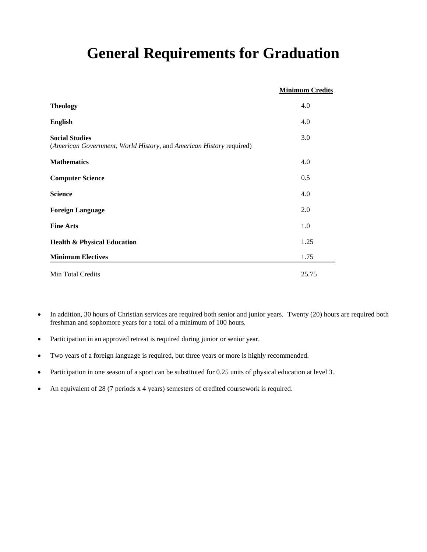#### **General Requirements for Graduation**

|                                                                                              | <b>Minimum Credits</b> |
|----------------------------------------------------------------------------------------------|------------------------|
| <b>Theology</b>                                                                              | 4.0                    |
| <b>English</b>                                                                               | 4.0                    |
| <b>Social Studies</b><br>(American Government, World History, and American History required) | 3.0                    |
| <b>Mathematics</b>                                                                           | 4.0                    |
| <b>Computer Science</b>                                                                      | 0.5                    |
| <b>Science</b>                                                                               | 4.0                    |
| <b>Foreign Language</b>                                                                      | 2.0                    |
| <b>Fine Arts</b>                                                                             | 1.0                    |
| <b>Health &amp; Physical Education</b>                                                       | 1.25                   |
| <b>Minimum Electives</b>                                                                     | 1.75                   |
| Min Total Credits                                                                            | 25.75                  |

- In addition, 30 hours of Christian services are required both senior and junior years. Twenty (20) hours are required both freshman and sophomore years for a total of a minimum of 100 hours.
- Participation in an approved retreat is required during junior or senior year.
- Two years of a foreign language is required, but three years or more is highly recommended.
- Participation in one season of a sport can be substituted for 0.25 units of physical education at level 3.
- An equivalent of 28 (7 periods x 4 years) semesters of credited coursework is required.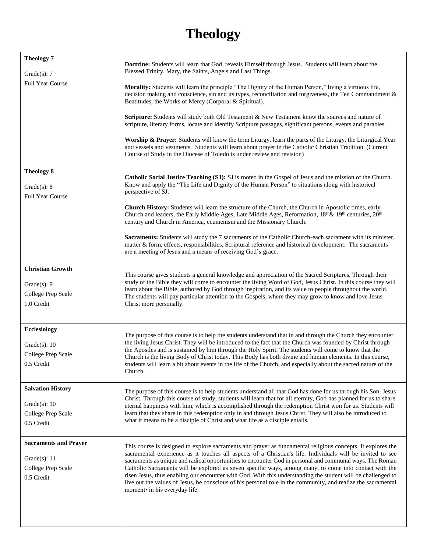#### **Theology**

| <b>Theology 7</b><br>Grade $(s)$ : 7<br><b>Full Year Course</b>                      | <b>Doctrine:</b> Students will learn that God, reveals Himself through Jesus. Students will learn about the<br>Blessed Trinity, Mary, the Saints, Angels and Last Things.<br>Morality: Students will learn the principle "The Dignity of the Human Person," living a virtuous life,<br>decision making and conscience, sin and its types, reconciliation and forgiveness, the Ten Commandment &<br>Beatitudes, the Works of Mercy (Corporal & Spiritual).<br><b>Scripture:</b> Students will study both Old Testament & New Testament know the sources and nature of<br>scripture, literary forms, locate and identify Scripture passages, significant persons, events and parables.<br>Worship & Prayer: Students will know the term Liturgy, learn the parts of the Liturgy, the Liturgical Year<br>and vessels and vestments. Students will learn about prayer in the Catholic Christian Tradition. (Current<br>Course of Study in the Diocese of Toledo is under review and revision) |
|--------------------------------------------------------------------------------------|-------------------------------------------------------------------------------------------------------------------------------------------------------------------------------------------------------------------------------------------------------------------------------------------------------------------------------------------------------------------------------------------------------------------------------------------------------------------------------------------------------------------------------------------------------------------------------------------------------------------------------------------------------------------------------------------------------------------------------------------------------------------------------------------------------------------------------------------------------------------------------------------------------------------------------------------------------------------------------------------|
| <b>Theology 8</b><br>Grade $(s)$ : 8<br><b>Full Year Course</b>                      | Catholic Social Justice Teaching (SJ): SJ is rooted in the Gospel of Jesus and the mission of the Church.<br>Know and apply the "The Life and Dignity of the Human Person" to situations along with historical<br>perspective of SJ.<br><b>Church History:</b> Students will learn the structure of the Church, the Church in Apostolic times, early<br>Church and leaders, the Early Middle Ages, Late Middle Ages, Reformation, $18^{th}\& 19^{th}$ centuries, $20^{th}$<br>century and Church in America, ecumenism and the Missionary Church.<br>Sacraments: Students will study the 7 sacraments of the Catholic Church-each sacrament with its minister,<br>matter & form, effects, responsibilities, Scriptural reference and historical development. The sacraments<br>are a meeting of Jesus and a means of receiving God's grace.                                                                                                                                               |
| <b>Christian Growth</b><br>Grade $(s)$ : 9<br>College Prep Scale<br>1.0 Credit       | This course gives students a general knowledge and appreciation of the Sacred Scriptures. Through their<br>study of the Bible they will come to encounter the living Word of God, Jesus Christ. In this course they will<br>learn about the Bible, authored by God through inspiration, and its value to people throughout the world.<br>The students will pay particular attention to the Gospels, where they may grow to know and love Jesus<br>Christ more personally.                                                                                                                                                                                                                                                                                                                                                                                                                                                                                                                 |
| <b>Ecclesiology</b><br>Grade $(s)$ : 10<br>College Prep Scale<br>0.5 Credit          | The purpose of this course is to help the students understand that in and through the Church they encounter<br>the living Jesus Christ. They will be introduced to the fact that the Church was founded by Christ through<br>the Apostles and is sustained by him through the Holy Spirit. The students will come to know that the<br>Church is the living Body of Christ today. This Body has both divine and human elements. In this course,<br>students will learn a bit about events in the life of the Church, and especially about the sacred nature of the<br>Church.                                                                                                                                                                                                                                                                                                                                                                                                              |
| <b>Salvation History</b><br>Grade $(s)$ : 10<br>College Prep Scale<br>0.5 Credit     | The purpose of this course is to help students understand all that God has done for us through his Son, Jesus<br>Christ. Through this course of study, students will learn that for all eternity, God has planned for us to share<br>eternal happiness with him, which is accomplished through the redemption Christ won for us. Students will<br>learn that they share in this redemption only in and through Jesus Christ. They will also be introduced to<br>what it means to be a disciple of Christ and what life as a disciple entails.                                                                                                                                                                                                                                                                                                                                                                                                                                             |
| <b>Sacraments and Prayer</b><br>Grade $(s)$ : 11<br>College Prep Scale<br>0.5 Credit | This course is designed to explore sacraments and prayer as fundamental religious concepts. It explores the<br>sacramental experience as it touches all aspects of a Christian's life. Individuals will be invited to see<br>sacraments as unique and radical opportunities to encounter God in personal and communal ways. The Roman<br>Catholic Sacraments will be explored as seven specific ways, among many, to come into contact with the<br>risen Jesus, thus enabling our encounter with God. With this understanding the student will be challenged to<br>live out the values of Jesus, be conscious of his personal role in the community, and realize the sacramental<br>moment• in his everyday life.                                                                                                                                                                                                                                                                         |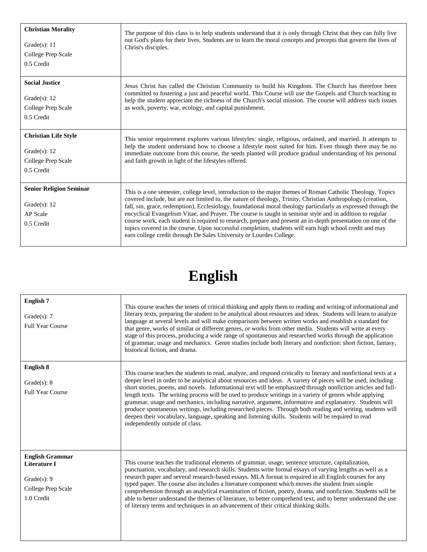| <b>Christian Morality</b><br>Grade $(s)$ : 11<br>College Prep Scale<br>0.5 Credit   | The purpose of this class is to help students understand that it is only through Christ that they can fully live<br>out God's plans for their lives. Students are to learn the moral concepts and precepts that govern the lives of<br>Christ's disciples.                                                                                                                                                                                                                                                                                                                                                                                                                                                                                                  |
|-------------------------------------------------------------------------------------|-------------------------------------------------------------------------------------------------------------------------------------------------------------------------------------------------------------------------------------------------------------------------------------------------------------------------------------------------------------------------------------------------------------------------------------------------------------------------------------------------------------------------------------------------------------------------------------------------------------------------------------------------------------------------------------------------------------------------------------------------------------|
| <b>Social Justice</b>                                                               | Jesus Christ has called the Christian Community to build his Kingdom. The Church has therefore been                                                                                                                                                                                                                                                                                                                                                                                                                                                                                                                                                                                                                                                         |
| Grade $(s)$ : 12                                                                    | committed to fostering a just and peaceful world. This Course will use the Gospels and Church teaching to                                                                                                                                                                                                                                                                                                                                                                                                                                                                                                                                                                                                                                                   |
| College Prep Scale                                                                  | help the student appreciate the richness of the Church's social mission. The course will address such issues                                                                                                                                                                                                                                                                                                                                                                                                                                                                                                                                                                                                                                                |
| 0.5 Credit                                                                          | as work, poverty, war, ecology, and capital punishment.                                                                                                                                                                                                                                                                                                                                                                                                                                                                                                                                                                                                                                                                                                     |
| <b>Christian Life Style</b>                                                         | This senior requirement explores various lifestyles: single, religious, ordained, and married. It attempts to                                                                                                                                                                                                                                                                                                                                                                                                                                                                                                                                                                                                                                               |
| Grade $(s)$ : 12                                                                    | help the student understand how to choose a lifestyle most suited for him. Even though there may be no                                                                                                                                                                                                                                                                                                                                                                                                                                                                                                                                                                                                                                                      |
| College Prep Scale                                                                  | immediate outcome from this course, the seeds planted will produce gradual understanding of his personal                                                                                                                                                                                                                                                                                                                                                                                                                                                                                                                                                                                                                                                    |
| 0.5 Credit                                                                          | and faith growth in light of the lifestyles offered.                                                                                                                                                                                                                                                                                                                                                                                                                                                                                                                                                                                                                                                                                                        |
| <b>Senior Religion Seminar</b><br>Grade $(s)$ : 12<br><b>AP</b> Scale<br>0.5 Credit | This is a one semester, college level, introduction to the major themes of Roman Catholic Theology. Topics<br>covered include, but are not limited to, the nature of theology, Trinity, Christian Anthropology (creation,<br>fall, sin, grace, redemption), Ecclesiology, foundational moral theology particularly as expressed through the<br>encyclical Evangelism Vitae, and Prayer. The course is taught in seminar style and in addition to regular<br>course work, each student is required to research, prepare and present an in-depth presentation on one of the<br>topics covered in the course. Upon successful completion, students will earn high school credit and may<br>earn college credit through De Sales University or Lourdes College. |

# **English**

| <b>English 7</b><br>Grade $(s)$ : 7<br>Full Year Course                                       | This course teaches the tenets of critical thinking and apply them to reading and writing of informational and<br>literary texts, preparing the student to be analytical about resources and ideas. Students will learn to analyze<br>language at several levels and will make comparisons between written works and establish a standard for<br>that genre, works of similar or different genres, or works from other media. Students will write at every<br>stage of this process, producing a wide range of spontaneous and researched works through the application<br>of grammar, usage and mechanics. Genre studies include both literary and nonfiction: short fiction, fantasy,<br>historical fiction, and drama.                                                                                                          |
|-----------------------------------------------------------------------------------------------|------------------------------------------------------------------------------------------------------------------------------------------------------------------------------------------------------------------------------------------------------------------------------------------------------------------------------------------------------------------------------------------------------------------------------------------------------------------------------------------------------------------------------------------------------------------------------------------------------------------------------------------------------------------------------------------------------------------------------------------------------------------------------------------------------------------------------------|
| English 8<br>Grade $(s)$ : 8<br><b>Full Year Course</b>                                       | This course teaches the students to read, analyze, and respond critically to literary and nonfictional texts at a<br>deeper level in order to be analytical about resources and ideas. A variety of pieces will be used, including<br>short stories, poems, and novels. Informational text will be emphasized through nonfiction articles and full-<br>length texts. The writing process will be used to produce writings in a variety of genres while applying<br>grammar, usage and mechanics, including narrative, argument, informative and explanatory. Students will<br>produce spontaneous writings, including researched pieces. Through both reading and writing, students will<br>deepen their vocabulary, language, speaking and listening skills. Students will be required to read<br>independently outside of class. |
| <b>English Grammar</b><br>Literature I<br>Grade $(s)$ : 9<br>College Prep Scale<br>1.0 Credit | This course teaches the traditional elements of grammar, usage, sentence structure, capitalization,<br>punctuation, vocabulary, and research skills. Students write formal essays of varying lengths as well as a<br>research paper and several research-based essays. MLA format is required in all English courses for any<br>typed paper. The course also includes a literature component which moves the student from simple<br>comprehension through an analytical examination of fiction, poetry, drama, and nonfiction. Students will be<br>able to better understand the themes of literature, to better comprehend text, and to better understand the use<br>of literary terms and techniques in an advancement of their critical thinking skills.                                                                        |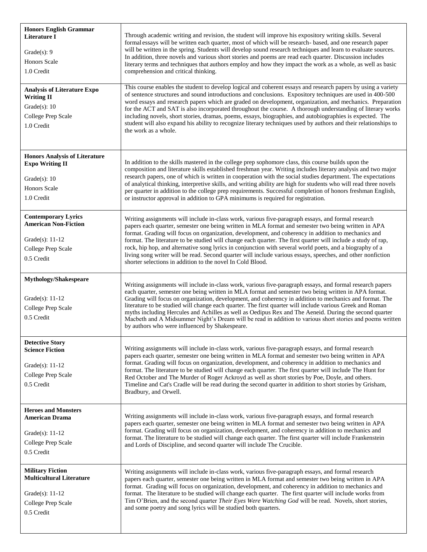| <b>Honors English Grammar</b><br>Literature I<br>Grade $(s)$ : 9<br><b>Honors Scale</b><br>1.0 Credit                   | Through academic writing and revision, the student will improve his expository writing skills. Several<br>formal essays will be written each quarter, most of which will be research- based, and one research paper<br>will be written in the spring. Students will develop sound research techniques and learn to evaluate sources.<br>In addition, three novels and various short stories and poems are read each quarter. Discussion includes<br>literary terms and techniques that authors employ and how they impact the work as a whole, as well as basic<br>comprehension and critical thinking.                                                                                                                    |
|-------------------------------------------------------------------------------------------------------------------------|----------------------------------------------------------------------------------------------------------------------------------------------------------------------------------------------------------------------------------------------------------------------------------------------------------------------------------------------------------------------------------------------------------------------------------------------------------------------------------------------------------------------------------------------------------------------------------------------------------------------------------------------------------------------------------------------------------------------------|
| <b>Analysis of Literature Expo</b><br><b>Writing II</b><br>Grade $(s)$ : 10<br>College Prep Scale<br>1.0 Credit         | This course enables the student to develop logical and coherent essays and research papers by using a variety<br>of sentence structures and sound introductions and conclusions. Expository techniques are used in 400-500<br>word essays and research papers which are graded on development, organization, and mechanics. Preparation<br>for the ACT and SAT is also incorporated throughout the course. A thorough understanding of literary works<br>including novels, short stories, dramas, poems, essays, biographies, and autobiographies is expected. The<br>student will also expand his ability to recognize literary techniques used by authors and their relationships to<br>the work as a whole.             |
| <b>Honors Analysis of Literature</b><br><b>Expo Writing II</b><br>Grade $(s)$ : 10<br><b>Honors Scale</b><br>1.0 Credit | In addition to the skills mastered in the college prep sophomore class, this course builds upon the<br>composition and literature skills established freshman year. Writing includes literary analysis and two major<br>research papers, one of which is written in cooperation with the social studies department. The expectations<br>of analytical thinking, interpretive skills, and writing ability are high for students who will read three novels<br>per quarter in addition to the college prep requirements. Successful completion of honors freshman English,<br>or instructor approval in addition to GPA minimums is required for registration.                                                               |
| <b>Contemporary Lyrics</b><br><b>American Non-Fiction</b><br>Grade(s): $11-12$<br>College Prep Scale<br>0.5 Credit      | Writing assignments will include in-class work, various five-paragraph essays, and formal research<br>papers each quarter, semester one being written in MLA format and semester two being written in APA<br>format. Grading will focus on organization, development, and coherency in addition to mechanics and<br>format. The literature to be studied will change each quarter. The first quarter will include a study of rap,<br>rock, hip hop, and alternative song lyrics in conjunction with several world poets, and a biography of a<br>living song writer will be read. Second quarter will include various essays, speeches, and other nonfiction<br>shorter selections in addition to the novel In Cold Blood. |
| Mythology/Shakespeare<br>Grade(s): 11-12<br>College Prep Scale<br>0.5 Credit                                            | Writing assignments will include in-class work, various five-paragraph essays, and formal research papers<br>each quarter, semester one being written in MLA format and semester two being written in APA format.<br>Grading will focus on organization, development, and coherency in addition to mechanics and format. The<br>literature to be studied will change each quarter. The first quarter will include various Greek and Roman<br>myths including Hercules and Achilles as well as Oedipus Rex and The Aeneid. During the second quarter<br>Macbeth and A Midsummer Night's Dream will be read in addition to various short stories and poems written<br>by authors who were influenced by Shakespeare.         |
| <b>Detective Story</b><br><b>Science Fiction</b><br>Grade(s): 11-12<br>College Prep Scale<br>0.5 Credit                 | Writing assignments will include in-class work, various five-paragraph essays, and formal research<br>papers each quarter, semester one being written in MLA format and semester two being written in APA<br>format. Grading will focus on organization, development, and coherency in addition to mechanics and<br>format. The literature to be studied will change each quarter. The first quarter will include The Hunt for<br>Red October and The Murder of Roger Ackroyd as well as short stories by Poe, Doyle, and others.<br>Timeline and Cat's Cradle will be read during the second quarter in addition to short stories by Grisham,<br>Bradbury, and Orwell.                                                    |
| <b>Heroes and Monsters</b><br><b>American Drama</b><br>Grade(s): 11-12<br>College Prep Scale<br>0.5 Credit              | Writing assignments will include in-class work, various five-paragraph essays, and formal research<br>papers each quarter, semester one being written in MLA format and semester two being written in APA<br>format. Grading will focus on organization, development, and coherency in addition to mechanics and<br>format. The literature to be studied will change each quarter. The first quarter will include Frankenstein<br>and Lords of Discipline, and second quarter will include The Crucible.                                                                                                                                                                                                                   |
| <b>Military Fiction</b><br><b>Multicultural Literature</b><br>Grade(s): $11-12$<br>College Prep Scale<br>0.5 Credit     | Writing assignments will include in-class work, various five-paragraph essays, and formal research<br>papers each quarter, semester one being written in MLA format and semester two being written in APA<br>format. Grading will focus on organization, development, and coherency in addition to mechanics and<br>format. The literature to be studied will change each quarter. The first quarter will include works from<br>Tim O'Brien, and the second quarter Their Eyes Were Watching God will be read. Novels, short stories,<br>and some poetry and song lyrics will be studied both quarters.                                                                                                                    |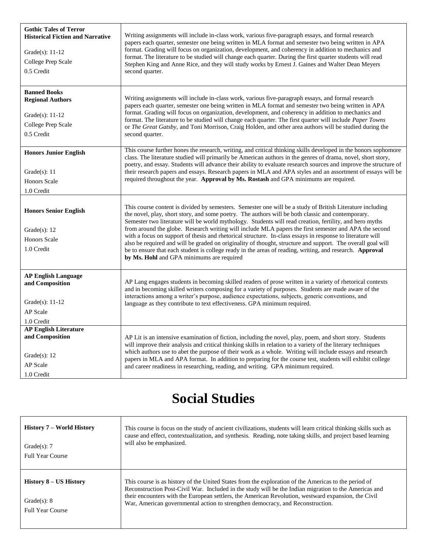| <b>Gothic Tales of Terror</b><br><b>Historical Fiction and Narrative</b><br>Grade(s): 11-12<br>College Prep Scale<br>0.5 Credit | Writing assignments will include in-class work, various five-paragraph essays, and formal research<br>papers each quarter, semester one being written in MLA format and semester two being written in APA<br>format. Grading will focus on organization, development, and coherency in addition to mechanics and<br>format. The literature to be studied will change each quarter. During the first quarter students will read<br>Stephen King and Anne Rice, and they will study works by Ernest J. Gaines and Walter Dean Meyers<br>second quarter.                                                                                                                                                                                                                                                                           |
|---------------------------------------------------------------------------------------------------------------------------------|---------------------------------------------------------------------------------------------------------------------------------------------------------------------------------------------------------------------------------------------------------------------------------------------------------------------------------------------------------------------------------------------------------------------------------------------------------------------------------------------------------------------------------------------------------------------------------------------------------------------------------------------------------------------------------------------------------------------------------------------------------------------------------------------------------------------------------|
| <b>Banned Books</b><br><b>Regional Authors</b><br>Grade $(s)$ : 11-12<br>College Prep Scale<br>0.5 Credit                       | Writing assignments will include in-class work, various five-paragraph essays, and formal research<br>papers each quarter, semester one being written in MLA format and semester two being written in APA<br>format. Grading will focus on organization, development, and coherency in addition to mechanics and<br>format. The literature to be studied will change each quarter. The first quarter will include Paper Towns<br>or The Great Gatsby, and Toni Morrison, Craig Holden, and other area authors will be studied during the<br>second quarter.                                                                                                                                                                                                                                                                     |
| <b>Honors Junior English</b><br>Grade $(s)$ : 11<br><b>Honors Scale</b><br>1.0 Credit                                           | This course further hones the research, writing, and critical thinking skills developed in the honors sophomore<br>class. The literature studied will primarily be American authors in the genres of drama, novel, short story,<br>poetry, and essay. Students will advance their ability to evaluate research sources and improve the structure of<br>their research papers and essays. Research papers in MLA and APA styles and an assortment of essays will be<br>required throughout the year. Approval by Ms. Rostash and GPA minimums are required.                                                                                                                                                                                                                                                                      |
| <b>Honors Senior English</b><br>Grade $(s)$ : 12<br><b>Honors Scale</b><br>1.0 Credit                                           | This course content is divided by semesters. Semester one will be a study of British Literature including<br>the novel, play, short story, and some poetry. The authors will be both classic and contemporary.<br>Semester two literature will be world mythology. Students will read creation, fertility, and hero myths<br>from around the globe. Research writing will include MLA papers the first semester and APA the second<br>with a focus on support of thesis and rhetorical structure. In-class essays in response to literature will<br>also be required and will be graded on originality of thought, structure and support. The overall goal will<br>be to ensure that each student is college ready in the areas of reading, writing, and research. <b>Approval</b><br>by Ms. Hohl and GPA minimums are required |
| <b>AP English Language</b><br>and Composition<br>Grade(s): $11-12$<br>AP Scale<br>1.0 Credit                                    | AP Lang engages students in becoming skilled readers of prose written in a variety of rhetorical contexts<br>and in becoming skilled writers composing for a variety of purposes. Students are made aware of the<br>interactions among a writer's purpose, audience expectations, subjects, generic conventions, and<br>language as they contribute to text effectiveness. GPA minimum required.                                                                                                                                                                                                                                                                                                                                                                                                                                |
| <b>AP English Literature</b><br>and Composition<br>Grade $(s)$ : 12<br>AP Scale<br>1.0 Credit                                   | AP Lit is an intensive examination of fiction, including the novel, play, poem, and short story. Students<br>will improve their analysis and critical thinking skills in relation to a variety of the literary techniques<br>which authors use to abet the purpose of their work as a whole. Writing will include essays and research<br>papers in MLA and APA format. In addition to preparing for the course test, students will exhibit college<br>and career readiness in researching, reading, and writing. GPA minimum required.                                                                                                                                                                                                                                                                                          |

#### **Social Studies**

| History 7 – World History                                            | This course is focus on the study of ancient civilizations, students will learn critical thinking skills such as                                                                                                                                                                                                                                                                                       |
|----------------------------------------------------------------------|--------------------------------------------------------------------------------------------------------------------------------------------------------------------------------------------------------------------------------------------------------------------------------------------------------------------------------------------------------------------------------------------------------|
| Grade $(s)$ : 7                                                      | cause and effect, contextualization, and synthesis. Reading, note taking skills, and project based learning                                                                                                                                                                                                                                                                                            |
| <b>Full Year Course</b>                                              | will also be emphasized.                                                                                                                                                                                                                                                                                                                                                                               |
| History 8 – US History<br>Grade $(s)$ : 8<br><b>Full Year Course</b> | This course is as history of the United States from the exploration of the Americas to the period of<br>Reconstruction Post-Civil War. Included in the study will be the Indian migration to the Americas and<br>their encounters with the European settlers, the American Revolution, westward expansion, the Civil<br>War, American governmental action to strengthen democracy, and Reconstruction. |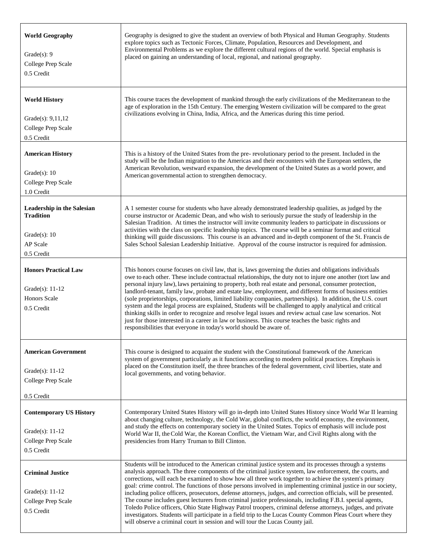| <b>World Geography</b><br>Grade $(s)$ : 9<br>College Prep Scale<br>0.5 Credit                       | Geography is designed to give the student an overview of both Physical and Human Geography. Students<br>explore topics such as Tectonic Forces, Climate, Population, Resources and Development, and<br>Environmental Problems as we explore the different cultural regions of the world. Special emphasis is<br>placed on gaining an understanding of local, regional, and national geography.                                                                                                                                                                                                                                                                                                                                                                                                                                                                                                                                                                                               |
|-----------------------------------------------------------------------------------------------------|----------------------------------------------------------------------------------------------------------------------------------------------------------------------------------------------------------------------------------------------------------------------------------------------------------------------------------------------------------------------------------------------------------------------------------------------------------------------------------------------------------------------------------------------------------------------------------------------------------------------------------------------------------------------------------------------------------------------------------------------------------------------------------------------------------------------------------------------------------------------------------------------------------------------------------------------------------------------------------------------|
| <b>World History</b><br>Grade(s): 9,11,12<br>College Prep Scale<br>0.5 Credit                       | This course traces the development of mankind through the early civilizations of the Mediterranean to the<br>age of exploration in the 15th Century. The emerging Western civilization will be compared to the great<br>civilizations evolving in China, India, Africa, and the Americas during this time period.                                                                                                                                                                                                                                                                                                                                                                                                                                                                                                                                                                                                                                                                            |
| <b>American History</b><br>Grade $(s)$ : 10<br>College Prep Scale<br>1.0 Credit                     | This is a history of the United States from the pre-revolutionary period to the present. Included in the<br>study will be the Indian migration to the Americas and their encounters with the European settlers, the<br>American Revolution, westward expansion, the development of the United States as a world power, and<br>American governmental action to strengthen democracy.                                                                                                                                                                                                                                                                                                                                                                                                                                                                                                                                                                                                          |
| <b>Leadership in the Salesian</b><br><b>Tradition</b><br>Grade $(s)$ : 10<br>AP Scale<br>0.5 Credit | A 1 semester course for students who have already demonstrated leadership qualities, as judged by the<br>course instructor or Academic Dean, and who wish to seriously pursue the study of leadership in the<br>Salesian Tradition. At times the instructor will invite community leaders to participate in discussions or<br>activities with the class on specific leadership topics. The course will be a seminar format and critical<br>thinking will guide discussions. This course is an advanced and in-depth component of the St. Francis de<br>Sales School Salesian Leadership Initiative. Approval of the course instructor is required for admission.                                                                                                                                                                                                                                                                                                                             |
| <b>Honors Practical Law</b><br>Grade(s): 11-12<br><b>Honors Scale</b><br>0.5 Credit                 | This honors course focuses on civil law, that is, laws governing the duties and obligations individuals<br>owe to each other. These include contractual relationships, the duty not to injure one another (tort law and<br>personal injury law), laws pertaining to property, both real estate and personal, consumer protection,<br>landlord-tenant, family law, probate and estate law, employment, and different forms of business entities<br>(sole proprietorships, corporations, limited liability companies, partnerships). In addition, the U.S. court<br>system and the legal process are explained, Students will be challenged to apply analytical and critical<br>thinking skills in order to recognize and resolve legal issues and review actual case law scenarios. Not<br>just for those interested in a career in law or business. This course teaches the basic rights and<br>responsibilities that everyone in today's world should be aware of.                          |
| <b>American Government</b><br>Grade(s): $11-12$<br>College Prep Scale<br>0.5 Credit                 | This course is designed to acquaint the student with the Constitutional framework of the American<br>system of government particularly as it functions according to modern political practices. Emphasis is<br>placed on the Constitution itself, the three branches of the federal government, civil liberties, state and<br>local governments, and voting behavior.                                                                                                                                                                                                                                                                                                                                                                                                                                                                                                                                                                                                                        |
| <b>Contemporary US History</b><br>Grade(s): $11-12$<br>College Prep Scale<br>0.5 Credit             | Contemporary United States History will go in-depth into United States History since World War II learning<br>about changing culture, technology, the Cold War, global conflicts, the world economy, the environment,<br>and study the effects on contemporary society in the United States. Topics of emphasis will include post<br>World War II, the Cold War, the Korean Conflict, the Vietnam War, and Civil Rights along with the<br>presidencies from Harry Truman to Bill Clinton.                                                                                                                                                                                                                                                                                                                                                                                                                                                                                                    |
| <b>Criminal Justice</b><br>Grade(s): $11-12$<br>College Prep Scale<br>0.5 Credit                    | Students will be introduced to the American criminal justice system and its processes through a systems<br>analysis approach. The three components of the criminal justice system, law enforcement, the courts, and<br>corrections, will each be examined to show how all three work together to achieve the system's primary<br>goal: crime control. The functions of those persons involved in implementing criminal justice in our society,<br>including police officers, prosecutors, defense attorneys, judges, and correction officials, will be presented.<br>The course includes guest lecturers from criminal justice professionals, including F.B.I. special agents,<br>Toledo Police officers, Ohio State Highway Patrol troopers, criminal defense attorneys, judges, and private<br>investigators. Students will participate in a field trip to the Lucas County Common Pleas Court where they<br>will observe a criminal court in session and will tour the Lucas County jail. |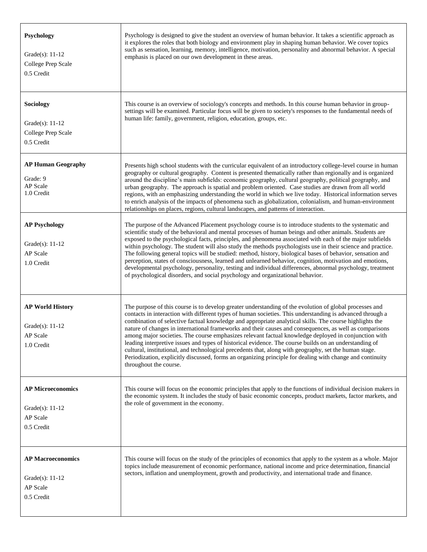| Psychology<br>Grade $(s)$ : 11-12<br>College Prep Scale<br>0.5 Credit     | Psychology is designed to give the student an overview of human behavior. It takes a scientific approach as<br>it explores the roles that both biology and environment play in shaping human behavior. We cover topics<br>such as sensation, learning, memory, intelligence, motivation, personality and abnormal behavior. A special<br>emphasis is placed on our own development in these areas.                                                                                                                                                                                                                                                                                                                                                                                                                                                                                                            |
|---------------------------------------------------------------------------|---------------------------------------------------------------------------------------------------------------------------------------------------------------------------------------------------------------------------------------------------------------------------------------------------------------------------------------------------------------------------------------------------------------------------------------------------------------------------------------------------------------------------------------------------------------------------------------------------------------------------------------------------------------------------------------------------------------------------------------------------------------------------------------------------------------------------------------------------------------------------------------------------------------|
| Sociology<br>Grade $(s)$ : 11-12<br>College Prep Scale<br>0.5 Credit      | This course is an overview of sociology's concepts and methods. In this course human behavior in group-<br>settings will be examined. Particular focus will be given to society's responses to the fundamental needs of<br>human life: family, government, religion, education, groups, etc.                                                                                                                                                                                                                                                                                                                                                                                                                                                                                                                                                                                                                  |
| <b>AP Human Geography</b><br>Grade: 9<br>AP Scale<br>1.0 Credit           | Presents high school students with the curricular equivalent of an introductory college-level course in human<br>geography or cultural geography. Content is presented thematically rather than regionally and is organized<br>around the discipline's main subfields: economic geography, cultural geography, political geography, and<br>urban geography. The approach is spatial and problem oriented. Case studies are drawn from all world<br>regions, with an emphasizing understanding the world in which we live today. Historical information serves<br>to enrich analysis of the impacts of phenomena such as globalization, colonialism, and human-environment<br>relationships on places, regions, cultural landscapes, and patterns of interaction.                                                                                                                                              |
| <b>AP Psychology</b><br>Grade $(s)$ : 11-12<br>AP Scale<br>1.0 Credit     | The purpose of the Advanced Placement psychology course is to introduce students to the systematic and<br>scientific study of the behavioral and mental processes of human beings and other animals. Students are<br>exposed to the psychological facts, principles, and phenomena associated with each of the major subfields<br>within psychology. The student will also study the methods psychologists use in their science and practice.<br>The following general topics will be studied: method, history, biological bases of behavior, sensation and<br>perception, states of consciousness, learned and unlearned behavior, cognition, motivation and emotions,<br>developmental psychology, personality, testing and individual differences, abnormal psychology, treatment<br>of psychological disorders, and social psychology and organizational behavior.                                        |
| <b>AP World History</b><br>Grade $(s)$ : 11-12<br>AP Scale<br>1.0 Credit  | The purpose of this course is to develop greater understanding of the evolution of global processes and<br>contacts in interaction with different types of human societies. This understanding is advanced through a<br>combination of selective factual knowledge and appropriate analytical skills. The course highlights the<br>nature of changes in international frameworks and their causes and consequences, as well as comparisons<br>among major societies. The course emphasizes relevant factual knowledge deployed in conjunction with<br>leading interpretive issues and types of historical evidence. The course builds on an understanding of<br>cultural, institutional, and technological precedents that, along with geography, set the human stage.<br>Periodization, explicitly discussed, forms an organizing principle for dealing with change and continuity<br>throughout the course. |
| <b>AP Microeconomics</b><br>Grade $(s)$ : 11-12<br>AP Scale<br>0.5 Credit | This course will focus on the economic principles that apply to the functions of individual decision makers in<br>the economic system. It includes the study of basic economic concepts, product markets, factor markets, and<br>the role of government in the economy.                                                                                                                                                                                                                                                                                                                                                                                                                                                                                                                                                                                                                                       |
| <b>AP Macroeconomics</b><br>Grade $(s)$ : 11-12<br>AP Scale<br>0.5 Credit | This course will focus on the study of the principles of economics that apply to the system as a whole. Major<br>topics include measurement of economic performance, national income and price determination, financial<br>sectors, inflation and unemployment, growth and productivity, and international trade and finance.                                                                                                                                                                                                                                                                                                                                                                                                                                                                                                                                                                                 |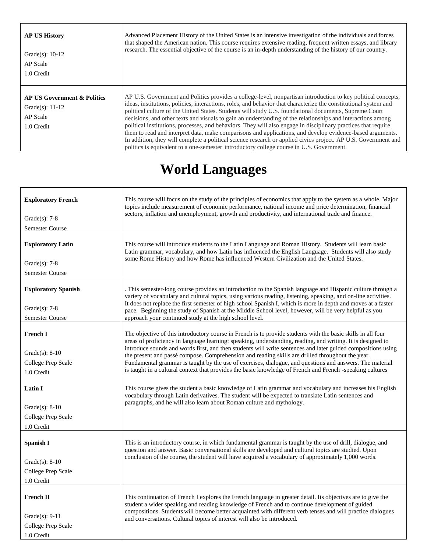| <b>AP US History</b><br>Grade(s): $10-12$<br>AP Scale<br>1.0 Credit                            | Advanced Placement History of the United States is an intensive investigation of the individuals and forces<br>that shaped the American nation. This course requires extensive reading, frequent written essays, and library<br>research. The essential objective of the course is an in-depth understanding of the history of our country.                                                                                                                                                                                                                                                                                                                                                                                                                                                                                                                                                             |
|------------------------------------------------------------------------------------------------|---------------------------------------------------------------------------------------------------------------------------------------------------------------------------------------------------------------------------------------------------------------------------------------------------------------------------------------------------------------------------------------------------------------------------------------------------------------------------------------------------------------------------------------------------------------------------------------------------------------------------------------------------------------------------------------------------------------------------------------------------------------------------------------------------------------------------------------------------------------------------------------------------------|
| <b>AP US Government &amp; Politics</b><br>Grade $(s)$ : 11-12<br><b>AP</b> Scale<br>1.0 Credit | AP U.S. Government and Politics provides a college-level, nonpartisan introduction to key political concepts,<br>ideas, institutions, policies, interactions, roles, and behavior that characterize the constitutional system and<br>political culture of the United States. Students will study U.S. foundational documents, Supreme Court<br>decisions, and other texts and visuals to gain an understanding of the relationships and interactions among<br>political institutions, processes, and behaviors. They will also engage in disciplinary practices that require<br>them to read and interpret data, make comparisons and applications, and develop evidence-based arguments.<br>In addition, they will complete a political science research or applied civics project. AP U.S. Government and<br>politics is equivalent to a one-semester introductory college course in U.S. Government. |

### **World Languages**

| <b>Exploratory French</b><br>Grade $(s)$ : 7-8<br><b>Semester Course</b>   | This course will focus on the study of the principles of economics that apply to the system as a whole. Major<br>topics include measurement of economic performance, national income and price determination, financial<br>sectors, inflation and unemployment, growth and productivity, and international trade and finance.                                                                                                                                                                                                                                                                                                                                            |
|----------------------------------------------------------------------------|--------------------------------------------------------------------------------------------------------------------------------------------------------------------------------------------------------------------------------------------------------------------------------------------------------------------------------------------------------------------------------------------------------------------------------------------------------------------------------------------------------------------------------------------------------------------------------------------------------------------------------------------------------------------------|
| <b>Exploratory Latin</b><br>Grade $(s)$ : 7-8<br><b>Semester Course</b>    | This course will introduce students to the Latin Language and Roman History. Students will learn basic<br>Latin grammar, vocabulary, and how Latin has influenced the English Language. Students will also study<br>some Rome History and how Rome has influenced Western Civilization and the United States.                                                                                                                                                                                                                                                                                                                                                            |
| <b>Exploratory Spanish</b><br>Grade $(s)$ : 7-8<br>Semester Course         | . This semester-long course provides an introduction to the Spanish language and Hispanic culture through a<br>variety of vocabulary and cultural topics, using various reading, listening, speaking, and on-line activities.<br>It does not replace the first semester of high school Spanish I, which is more in depth and moves at a faster<br>pace. Beginning the study of Spanish at the Middle School level, however, will be very helpful as you<br>approach your continued study at the high school level.                                                                                                                                                       |
| French I<br>Grade $(s)$ : 8-10<br>College Prep Scale<br>1.0 Credit         | The objective of this introductory course in French is to provide students with the basic skills in all four<br>areas of proficiency in language learning: speaking, understanding, reading, and writing. It is designed to<br>introduce sounds and words first, and then students will write sentences and later guided compositions using<br>the present and passé compose. Comprehension and reading skills are drilled throughout the year.<br>Fundamental grammar is taught by the use of exercises, dialogue, and questions and answers. The material<br>is taught in a cultural context that provides the basic knowledge of French and French -speaking cultures |
| <b>Latin I</b><br>Grade $(s)$ : 8-10<br>College Prep Scale<br>1.0 Credit   | This course gives the student a basic knowledge of Latin grammar and vocabulary and increases his English<br>vocabulary through Latin derivatives. The student will be expected to translate Latin sentences and<br>paragraphs, and he will also learn about Roman culture and mythology.                                                                                                                                                                                                                                                                                                                                                                                |
| Spanish I<br>Grade $(s)$ : 8-10<br>College Prep Scale<br>1.0 Credit        | This is an introductory course, in which fundamental grammar is taught by the use of drill, dialogue, and<br>question and answer. Basic conversational skills are developed and cultural topics are studied. Upon<br>conclusion of the course, the student will have acquired a vocabulary of approximately 1,000 words.                                                                                                                                                                                                                                                                                                                                                 |
| <b>French II</b><br>Grade $(s)$ : 9-11<br>College Prep Scale<br>1.0 Credit | This continuation of French I explores the French language in greater detail. Its objectives are to give the<br>student a wider speaking and reading knowledge of French and to continue development of guided<br>compositions. Students will become better acquainted with different verb tenses and will practice dialogues<br>and conversations. Cultural topics of interest will also be introduced.                                                                                                                                                                                                                                                                 |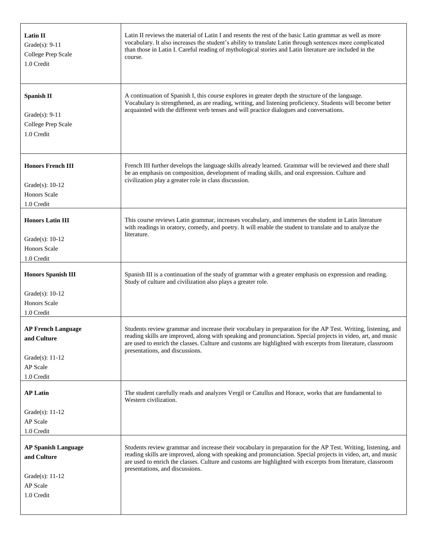| Latin II<br>Grade $(s)$ : 9-11<br>College Prep Scale<br>1.0 Credit                      | Latin II reviews the material of Latin I and resents the rest of the basic Latin grammar as well as more<br>vocabulary. It also increases the student's ability to translate Latin through sentences more complicated<br>than those in Latin I. Careful reading of mythological stories and Latin literature are included in the<br>course.                                       |
|-----------------------------------------------------------------------------------------|-----------------------------------------------------------------------------------------------------------------------------------------------------------------------------------------------------------------------------------------------------------------------------------------------------------------------------------------------------------------------------------|
| <b>Spanish II</b><br>Grade $(s)$ : 9-11<br>College Prep Scale<br>1.0 Credit             | A continuation of Spanish I, this course explores in greater depth the structure of the language.<br>Vocabulary is strengthened, as are reading, writing, and listening proficiency. Students will become better<br>acquainted with the different verb tenses and will practice dialogues and conversations.                                                                      |
| <b>Honors French III</b><br>Grade $(s)$ : 10-12<br><b>Honors Scale</b><br>1.0 Credit    | French III further develops the language skills already learned. Grammar will be reviewed and there shall<br>be an emphasis on composition, development of reading skills, and oral expression. Culture and<br>civilization play a greater role in class discussion.                                                                                                              |
| <b>Honors Latin III</b><br>Grade $(s)$ : 10-12<br><b>Honors Scale</b><br>1.0 Credit     | This course reviews Latin grammar, increases vocabulary, and immerses the student in Latin literature<br>with readings in oratory, comedy, and poetry. It will enable the student to translate and to analyze the<br>literature.                                                                                                                                                  |
| <b>Honors Spanish III</b><br>Grade $(s)$ : 10-12<br><b>Honors Scale</b><br>1.0 Credit   | Spanish III is a continuation of the study of grammar with a greater emphasis on expression and reading.<br>Study of culture and civilization also plays a greater role.                                                                                                                                                                                                          |
| <b>AP French Language</b><br>and Culture<br>Grade(s): $11-12$<br>AP Scale<br>1.0 Credit | Students review grammar and increase their vocabulary in preparation for the AP Test. Writing, listening, and<br>reading skills are improved, along with speaking and pronunciation. Special projects in video, art, and music<br>are used to enrich the classes. Culture and customs are highlighted with excerpts from literature, classroom<br>presentations, and discussions. |
| <b>AP Latin</b><br>Grade(s): $11-12$<br>AP Scale<br>1.0 Credit                          | The student carefully reads and analyzes Vergil or Catullus and Horace, works that are fundamental to<br>Western civilization.                                                                                                                                                                                                                                                    |
| <b>AP Spanish Language</b><br>and Culture                                               | Students review grammar and increase their vocabulary in preparation for the AP Test. Writing, listening, and<br>reading skills are improved, along with speaking and pronunciation. Special projects in video, art, and music<br>are used to enrich the classes. Culture and customs are highlighted with excerpts from literature, classroom                                    |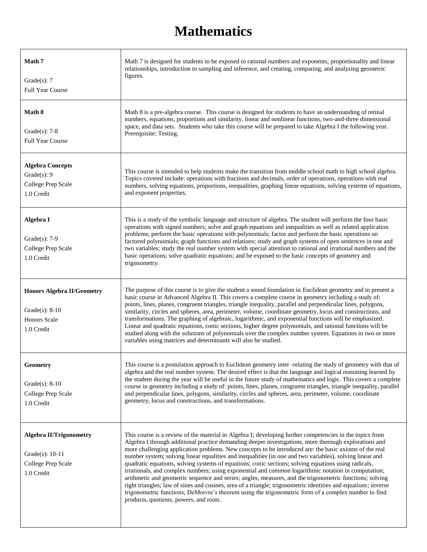#### **Mathematics**

| Math 7<br>Grade $(s)$ : 7<br><b>Full Year Course</b>                                      | Math 7 is designed for students to be exposed to rational numbers and exponents, proportionality and linear<br>relationships, introduction to sampling and inference, and creating, comparing, and analyzing geometric<br>figures.                                                                                                                                                                                                                                                                                                                                                                                                                                                                                                                                                                                                                                                                                                                                                                                                      |
|-------------------------------------------------------------------------------------------|-----------------------------------------------------------------------------------------------------------------------------------------------------------------------------------------------------------------------------------------------------------------------------------------------------------------------------------------------------------------------------------------------------------------------------------------------------------------------------------------------------------------------------------------------------------------------------------------------------------------------------------------------------------------------------------------------------------------------------------------------------------------------------------------------------------------------------------------------------------------------------------------------------------------------------------------------------------------------------------------------------------------------------------------|
| Math 8<br>Grade $(s)$ : 7-8<br><b>Full Year Course</b>                                    | Math 8 is a pre-algebra course. This course is designed for students to have an understanding of retinal<br>numbers, equations, proportions and similarity, linear and nonlinear functions, two-and-three dimensional<br>space, and data sets. Students who take this course will be prepared to take Algebra I the following year.<br>Prerequisite: Testing.                                                                                                                                                                                                                                                                                                                                                                                                                                                                                                                                                                                                                                                                           |
| <b>Algebra Concepts</b><br>Grade $(s)$ : 9<br>College Prep Scale<br>1.0 Credit            | This course is intended to help students make the transition from middle school math to high school algebra.<br>Topics covered include: operations with fractions and decimals, order of operations, operations with real<br>numbers, solving equations, proportions, inequalities, graphing linear equations, solving systems of equations,<br>and exponent properties.                                                                                                                                                                                                                                                                                                                                                                                                                                                                                                                                                                                                                                                                |
| Algebra I<br>Grade $(s)$ : 7-9<br>College Prep Scale<br>1.0 Credit                        | This is a study of the symbolic language and structure of algebra. The student will perform the four basic<br>operations with signed numbers; solve and graph equations and inequalities as well as related application<br>problems; perform the basic operations with polynomials; factor and perform the basic operations on<br>factored polynomials; graph functions and relations; study and graph systems of open sentences in one and<br>two variables; study the real number system with special attention to rational and irrational numbers and the<br>basic operations; solve quadratic equations; and be exposed to the basic concepts of geometry and<br>trigonometry.                                                                                                                                                                                                                                                                                                                                                      |
| <b>Honors Algebra II/Geometry</b><br>Grade $(s)$ : 8-10<br>Honors Scale<br>1.0 Credit     | The purpose of this course is to give the student a sound foundation in Euclidean geometry and to present a<br>basic course in Advanced Algebra II. This covers a complete course in geometry including a study of:<br>points, lines, planes, congruent triangles, triangle inequality, parallel and perpendicular lines, polygons,<br>similarity, circles and spheres, area, perimeter, volume, coordinate geometry, locus and constructions, and<br>transformations. The graphing of algebraic, logarithmic, and exponential functions will be emphasized.<br>Linear and quadratic equations, conic sections, higher degree polynomials, and rational functions will be<br>studied along with the solutions of polynomials over the complex number system. Equations in two or more<br>variables using matrices and determinants will also be studied.                                                                                                                                                                                |
| Geometry<br>Grade $(s)$ : 8-10<br>College Prep Scale<br>1.0 Credit                        | This course is a postulation approach to Euclidean geometry inter -relating the study of geometry with that of<br>algebra and the real number system. The desired effect is that the language and logical reasoning learned by<br>the student during the year will be useful in the future study of mathematics and logic. This covers a complete<br>course in geometry including a study of: points, lines, planes, congruent triangles, triangle inequality, parallel<br>and perpendicular lines, polygons, similarity, circles and spheres, area, perimeter, volume, coordinate<br>geometry, locus and constructions, and transformations.                                                                                                                                                                                                                                                                                                                                                                                           |
| <b>Algebra II/Trigonometry</b><br>Grade $(s)$ : 10-11<br>College Prep Scale<br>1.0 Credit | This course is a review of the material in Algebra I; developing further competencies in the topics from<br>Algebra I through additional practice demanding deeper investigations, more thorough explorations and<br>more challenging application problems. New concepts to be introduced are: the basic axioms of the real<br>number system; solving linear equalities and inequalities (in one and two variables), solving linear and<br>quadratic equations, solving systems of equations; conic sections; solving equations using radicals,<br>irrationals, and complex numbers; using exponential and common logarithmic notation in computation;<br>arithmetic and geometric sequence and series; angles, measures, and the trigonometric functions; solving<br>right triangles; law of sines and cosines, area of a triangle; trigonometric identities and equations; inverse<br>trigonometric functions; DeMoivre's theorem using the trigonometric form of a complex number to find<br>products, quotients, powers, and roots. |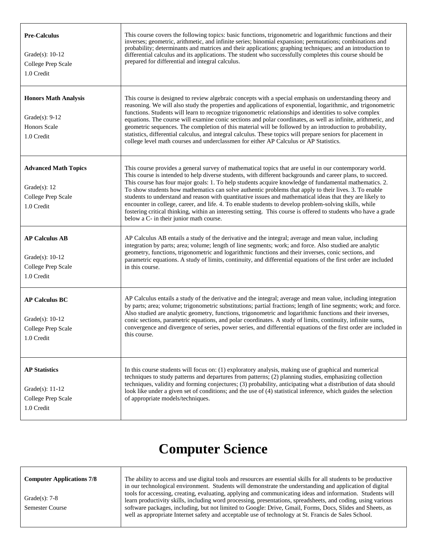| <b>Pre-Calculus</b><br>Grade(s): $10-12$<br>College Prep Scale<br>1.0 Credit        | This course covers the following topics: basic functions, trigonometric and logarithmic functions and their<br>inverses; geometric, arithmetic, and infinite series; binomial expansion; permutations; combinations and<br>probability; determinants and matrices and their applications; graphing techniques; and an introduction to<br>differential calculus and its applications. The student who successfully completes this course should be<br>prepared for differential and integral calculus.                                                                                                                                                                                                                                                                                                                         |
|-------------------------------------------------------------------------------------|-------------------------------------------------------------------------------------------------------------------------------------------------------------------------------------------------------------------------------------------------------------------------------------------------------------------------------------------------------------------------------------------------------------------------------------------------------------------------------------------------------------------------------------------------------------------------------------------------------------------------------------------------------------------------------------------------------------------------------------------------------------------------------------------------------------------------------|
| <b>Honors Math Analysis</b><br>Grade $(s)$ : 9-12<br>Honors Scale<br>1.0 Credit     | This course is designed to review algebraic concepts with a special emphasis on understanding theory and<br>reasoning. We will also study the properties and applications of exponential, logarithmic, and trigonometric<br>functions. Students will learn to recognize trigonometric relationships and identities to solve complex<br>equations. The course will examine conic sections and polar coordinates, as well as infinite, arithmetic, and<br>geometric sequences. The completion of this material will be followed by an introduction to probability,<br>statistics, differential calculus, and integral calculus. These topics will prepare seniors for placement in<br>college level math courses and underclassmen for either AP Calculus or AP Statistics.                                                     |
| <b>Advanced Math Topics</b><br>Grade $(s)$ : 12<br>College Prep Scale<br>1.0 Credit | This course provides a general survey of mathematical topics that are useful in our contemporary world.<br>This course is intended to help diverse students, with different backgrounds and career plans, to succeed.<br>This course has four major goals: 1. To help students acquire knowledge of fundamental mathematics. 2.<br>To show students how mathematics can solve authentic problems that apply to their lives. 3. To enable<br>students to understand and reason with quantitative issues and mathematical ideas that they are likely to<br>encounter in college, career, and life. 4. To enable students to develop problem-solving skills, while<br>fostering critical thinking, within an interesting setting. This course is offered to students who have a grade<br>below a C- in their junior math course. |
| <b>AP Calculus AB</b><br>Grade(s): $10-12$<br>College Prep Scale<br>1.0 Credit      | AP Calculus AB entails a study of the derivative and the integral; average and mean value, including<br>integration by parts; area; volume; length of line segments; work; and force. Also studied are analytic<br>geometry, functions, trigonometric and logarithmic functions and their inverses, conic sections, and<br>parametric equations. A study of limits, continuity, and differential equations of the first order are included<br>in this course.                                                                                                                                                                                                                                                                                                                                                                 |
| <b>AP Calculus BC</b><br>Grade(s): $10-12$<br>College Prep Scale<br>1.0 Credit      | AP Calculus entails a study of the derivative and the integral; average and mean value, including integration<br>by parts; area; volume; trigonometric substitutions; partial fractions; length of line segments; work; and force.<br>Also studied are analytic geometry, functions, trigonometric and logarithmic functions and their inverses,<br>conic sections, parametric equations, and polar coordinates. A study of limits, continuity, infinite sums,<br>convergence and divergence of series, power series, and differential equations of the first order are included in<br>this course.                                                                                                                                                                                                                           |
| <b>AP Statistics</b><br>Grade(s): $11-12$<br>College Prep Scale<br>1.0 Credit       | In this course students will focus on: (1) exploratory analysis, making use of graphical and numerical<br>techniques to study patterns and departures from patterns; (2) planning studies, emphasizing collection<br>techniques, validity and forming conjectures; (3) probability, anticipating what a distribution of data should<br>look like under a given set of conditions; and the use of (4) statistical inference, which guides the selection<br>of appropriate models/techniques.                                                                                                                                                                                                                                                                                                                                   |

#### **Computer Science**

**Computer Applications 7/8** Grade(s): 7-8 Semester Course The ability to access and use digital tools and resources are essential skills for all students to be productive in our technological environment. Students will demonstrate the understanding and application of digital tools for accessing, creating, evaluating, applying and communicating ideas and information. Students will learn productivity skills, including word processing, presentations, spreadsheets, and coding, using various software packages, including, but not limited to Google: Drive, Gmail, Forms, Docs, Slides and Sheets, as well as appropriate Internet safety and acceptable use of technology at St. Francis de Sales School.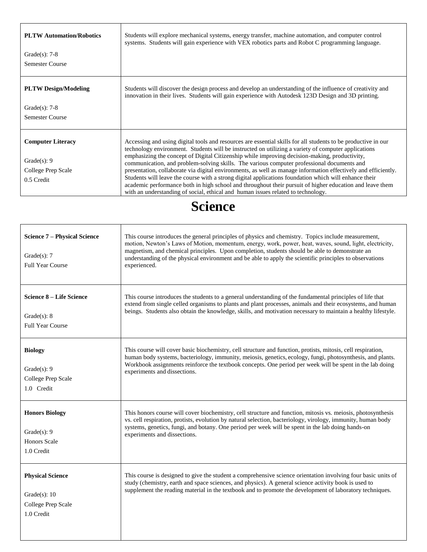| <b>PLTW Automation/Robotics</b> | Students will explore mechanical systems, energy transfer, machine automation, and computer control<br>systems. Students will gain experience with VEX robotics parts and Robot C programming language.                                                                                               |  |  |  |
|---------------------------------|-------------------------------------------------------------------------------------------------------------------------------------------------------------------------------------------------------------------------------------------------------------------------------------------------------|--|--|--|
| Grade $(s)$ : 7-8               |                                                                                                                                                                                                                                                                                                       |  |  |  |
| <b>Semester Course</b>          |                                                                                                                                                                                                                                                                                                       |  |  |  |
| <b>PLTW Design/Modeling</b>     | Students will discover the design process and develop an understanding of the influence of creativity and<br>innovation in their lives. Students will gain experience with Autodesk 123D Design and 3D printing.                                                                                      |  |  |  |
| Grade $(s)$ : 7-8               |                                                                                                                                                                                                                                                                                                       |  |  |  |
| <b>Semester Course</b>          |                                                                                                                                                                                                                                                                                                       |  |  |  |
| <b>Computer Literacy</b>        | Accessing and using digital tools and resources are essential skills for all students to be productive in our<br>technology environment. Students will be instructed on utilizing a variety of computer applications                                                                                  |  |  |  |
| Grade $(s)$ : 9                 | emphasizing the concept of Digital Citizenship while improving decision-making, productivity,<br>communication, and problem-solving skills. The various computer professional documents and                                                                                                           |  |  |  |
| College Prep Scale              | presentation, collaborate via digital environments, as well as manage information effectively and efficiently.                                                                                                                                                                                        |  |  |  |
| 0.5 Credit                      | Students will leave the course with a strong digital applications foundation which will enhance their<br>academic performance both in high school and throughout their pursuit of higher education and leave them<br>with an understanding of social, ethical and human issues related to technology. |  |  |  |

#### **Science**

| <b>Science 7 – Physical Science</b><br>Grade $(s)$ : 7<br><b>Full Year Course</b> | This course introduces the general principles of physics and chemistry. Topics include measurement,<br>motion, Newton's Laws of Motion, momentum, energy, work, power, heat, waves, sound, light, electricity,<br>magnetism, and chemical principles. Upon completion, students should be able to demonstrate an<br>understanding of the physical environment and be able to apply the scientific principles to observations<br>experienced. |
|-----------------------------------------------------------------------------------|----------------------------------------------------------------------------------------------------------------------------------------------------------------------------------------------------------------------------------------------------------------------------------------------------------------------------------------------------------------------------------------------------------------------------------------------|
| Science 8 – Life Science                                                          | This course introduces the students to a general understanding of the fundamental principles of life that                                                                                                                                                                                                                                                                                                                                    |
| Grade $(s)$ : 8                                                                   | extend from single celled organisms to plants and plant processes, animals and their ecosystems, and human                                                                                                                                                                                                                                                                                                                                   |
| <b>Full Year Course</b>                                                           | beings. Students also obtain the knowledge, skills, and motivation necessary to maintain a healthy lifestyle.                                                                                                                                                                                                                                                                                                                                |
| <b>Biology</b>                                                                    | This course will cover basic biochemistry, cell structure and function, protists, mitosis, cell respiration,                                                                                                                                                                                                                                                                                                                                 |
| Grade $(s)$ : 9                                                                   | human body systems, bacteriology, immunity, meiosis, genetics, ecology, fungi, photosynthesis, and plants.                                                                                                                                                                                                                                                                                                                                   |
| College Prep Scale                                                                | Workbook assignments reinforce the textbook concepts. One period per week will be spent in the lab doing                                                                                                                                                                                                                                                                                                                                     |
| 1.0 Credit                                                                        | experiments and dissections.                                                                                                                                                                                                                                                                                                                                                                                                                 |
| <b>Honors Biology</b>                                                             | This honors course will cover biochemistry, cell structure and function, mitosis vs. meiosis, photosynthesis                                                                                                                                                                                                                                                                                                                                 |
| Grade $(s)$ : 9                                                                   | vs. cell respiration, protists, evolution by natural selection, bacteriology, virology, immunity, human body                                                                                                                                                                                                                                                                                                                                 |
| <b>Honors Scale</b>                                                               | systems, genetics, fungi, and botany. One period per week will be spent in the lab doing hands-on                                                                                                                                                                                                                                                                                                                                            |
| 1.0 Credit                                                                        | experiments and dissections.                                                                                                                                                                                                                                                                                                                                                                                                                 |
| <b>Physical Science</b><br>Grade $(s)$ : 10<br>College Prep Scale<br>1.0 Credit   | This course is designed to give the student a comprehensive science orientation involving four basic units of<br>study (chemistry, earth and space sciences, and physics). A general science activity book is used to<br>supplement the reading material in the textbook and to promote the development of laboratory techniques.                                                                                                            |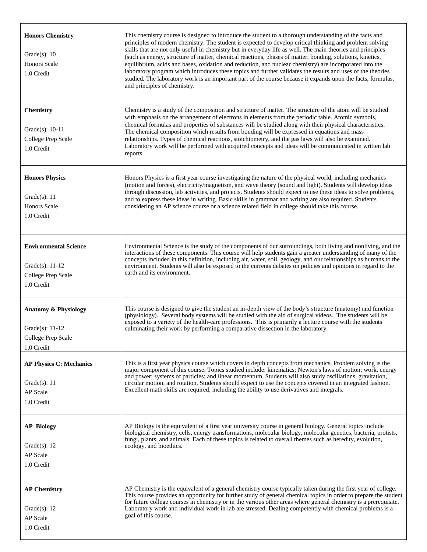| <b>Honors Chemistry</b><br>Grade $(s)$ : 10<br>Honors Scale<br>1.0 Credit                  | This chemistry course is designed to introduce the student to a thorough understanding of the facts and<br>principles of modern chemistry. The student is expected to develop critical thinking and problem solving<br>skills that are not only useful in chemistry but in everyday life as well. The main theories and principles<br>(such as energy, structure of matter, chemical reactions, phases of matter, bonding, solutions, kinetics,<br>equilibrium, acids and bases, oxidation and reduction, and nuclear chemistry) are incorporated into the<br>laboratory program which introduces these topics and further validates the results and uses of the theories<br>studied. The laboratory work is an important part of the course because it expands upon the facts, formulas,<br>and principles of chemistry. |
|--------------------------------------------------------------------------------------------|---------------------------------------------------------------------------------------------------------------------------------------------------------------------------------------------------------------------------------------------------------------------------------------------------------------------------------------------------------------------------------------------------------------------------------------------------------------------------------------------------------------------------------------------------------------------------------------------------------------------------------------------------------------------------------------------------------------------------------------------------------------------------------------------------------------------------|
| <b>Chemistry</b><br>Grade(s): $10-11$<br>College Prep Scale<br>1.0 Credit                  | Chemistry is a study of the composition and structure of matter. The structure of the atom will be studied<br>with emphasis on the arrangement of electrons in elements from the periodic table. Atomic symbols,<br>chemical formulas and properties of substances will be studied along with their physical characteristics.<br>The chemical composition which results from bonding will be expressed in equations and mass<br>relationships. Types of chemical reactions, stoichiometry, and the gas laws will also be examined.<br>Laboratory work will be performed with acquired concepts and ideas will be communicated in written lab<br>reports.                                                                                                                                                                  |
| <b>Honors Physics</b><br>Grade $(s)$ : 11<br><b>Honors Scale</b><br>1.0 Credit             | Honors Physics is a first year course investigating the nature of the physical world, including mechanics<br>(motion and forces), electricity/magnetism, and wave theory (sound and light). Students will develop ideas<br>through discussion, lab activities, and projects. Students should expect to use these ideas to solve problems,<br>and to express these ideas in writing. Basic skills in grammar and writing are also required. Students<br>considering an AP science course or a science related field in college should take this course.                                                                                                                                                                                                                                                                    |
| <b>Environmental Science</b><br>Grade $(s)$ : 11-12<br>College Prep Scale<br>1.0 Credit    | Environmental Science is the study of the components of our surroundings, both living and nonliving, and the<br>interactions of these components. This course will help students gain a greater understanding of many of the<br>concepts included in this definition, including air, water, soil, geology, and our relationships as humans to the<br>environment. Students will also be exposed to the currents debates on policies and opinions in regard to the<br>earth and its environment.                                                                                                                                                                                                                                                                                                                           |
| <b>Anatomy &amp; Physiology</b><br>Grade $(s)$ : 11-12<br>College Prep Scale<br>1.0 Credit | This course is designed to give the student an in-depth view of the body's structure (anatomy) and function<br>(physiology). Several body systems will be studied with the aid of surgical videos. The students will be<br>exposed to a variety of the health-care professions. This is primarily a lecture course with the students<br>culminating their work by performing a comparative dissection in the laboratory.                                                                                                                                                                                                                                                                                                                                                                                                  |
| <b>AP Physics C: Mechanics</b><br>Grade $(s)$ : 11<br>AP Scale<br>1.0 Credit               | This is a first year physics course which covers in depth concepts from mechanics. Problem solving is the<br>major component of this course. Topics studied include: kinematics; Newton's laws of motion; work, energy<br>and power; systems of particles; and linear momentum. Students will also study oscillations, gravitation,<br>circular motion, and rotation. Students should expect to use the concepts covered in an integrated fashion.<br>Excellent math skills are required, including the ability to use derivatives and integrals.                                                                                                                                                                                                                                                                         |
| <b>AP Biology</b><br>Grade $(s)$ : 12<br>AP Scale<br>1.0 Credit                            | AP Biology is the equivalent of a first year university course in general biology. General topics include<br>biological chemistry, cells, energy transformations, molecular biology, molecular genetics, bacteria, protists,<br>fungi, plants, and animals. Each of these topics is related to overall themes such as heredity, evolution,<br>ecology, and bioethics.                                                                                                                                                                                                                                                                                                                                                                                                                                                     |
| <b>AP Chemistry</b><br>Grade $(s)$ : 12<br>AP Scale<br>1.0 Credit                          | AP Chemistry is the equivalent of a general chemistry course typically taken during the first year of college.<br>This course provides an opportunity for further study of general chemical topics in order to prepare the student<br>for future college courses in chemistry or in the various other areas where general chemistry is a prerequisite.<br>Laboratory work and individual work in lab are stressed. Dealing competently with chemical problems is a<br>goal of this course.                                                                                                                                                                                                                                                                                                                                |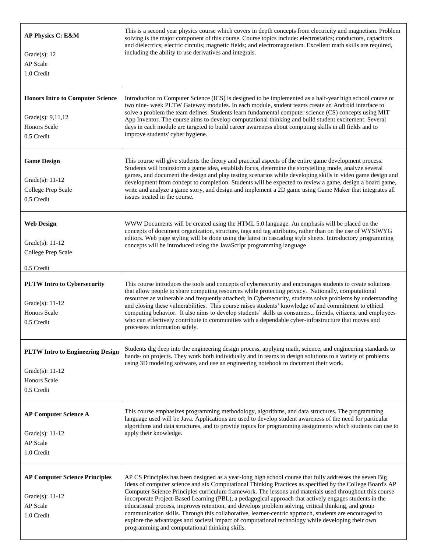| AP Physics C: E&M<br>Grade $(s)$ : 12<br>AP Scale<br>1.0 Credit                                   | This is a second year physics course which covers in depth concepts from electricity and magnetism. Problem<br>solving is the major component of this course. Course topics include: electrostatics; conductors, capacitors<br>and dielectrics; electric circuits; magnetic fields; and electromagnetism. Excellent math skills are required,<br>including the ability to use derivatives and integrals.                                                                                                                                                                                                                                                                                                                                                                                                          |  |  |  |  |
|---------------------------------------------------------------------------------------------------|-------------------------------------------------------------------------------------------------------------------------------------------------------------------------------------------------------------------------------------------------------------------------------------------------------------------------------------------------------------------------------------------------------------------------------------------------------------------------------------------------------------------------------------------------------------------------------------------------------------------------------------------------------------------------------------------------------------------------------------------------------------------------------------------------------------------|--|--|--|--|
| <b>Honors Intro to Computer Science</b><br>Grade(s): $9,11,12$<br>Honors Scale<br>0.5 Credit      | Introduction to Computer Science (ICS) is designed to be implemented as a half-year high school course or<br>two nine- week PLTW Gateway modules. In each module, student teams create an Android interface to<br>solve a problem the team defines. Students learn fundamental computer science (CS) concepts using MIT<br>App Inventor. The course aims to develop computational thinking and build student excitement. Several<br>days in each module are targeted to build career awareness about computing skills in all fields and to<br>improve students' cyber hygiene.                                                                                                                                                                                                                                    |  |  |  |  |
| <b>Game Design</b><br>Grade $(s)$ : 11-12<br>College Prep Scale<br>0.5 Credit                     | This course will give students the theory and practical aspects of the entire game development process.<br>Students will brainstorm a game idea, establish focus, determine the storytelling mode, analyze several<br>games, and document the design and play testing scenarios while developing skills in video game design and<br>development from concept to completion. Students will be expected to review a game, design a board game,<br>write and analyze a game story, and design and implement a 2D game using Game Maker that integrates all<br>issues treated in the course.                                                                                                                                                                                                                          |  |  |  |  |
| <b>Web Design</b><br>Grade(s): 11-12<br>College Prep Scale<br>0.5 Credit                          | WWW Documents will be created using the HTML 5.0 language. An emphasis will be placed on the<br>concepts of document organization, structure, tags and tag attributes, rather than on the use of WYSIWYG<br>editors. Web page styling will be done using the latest in cascading style sheets. Introductory programming<br>concepts will be introduced using the JavaScript programming language                                                                                                                                                                                                                                                                                                                                                                                                                  |  |  |  |  |
| <b>PLTW Intro to Cybersecurity</b><br>Grade(s): 11-12<br>Honors Scale<br>0.5 Credit               | This course introduces the tools and concepts of cybersecurity and encourages students to create solutions<br>that allow people to share computing resources while protecting privacy. Nationally, computational<br>resources ae vulnerable and frequently attached; in Cybersecurity, students solve problems by understanding<br>and closing these vulnerabilities. This course raises students' knowledge of and commitment to ethical<br>computing behavior. It also aims to develop students' skills as consumers., friends, citizens, and employees<br>who can effectively contribute to communities with a dependable cyber-infrastructure that moves and<br>processes information safely.                                                                                                                 |  |  |  |  |
| <b>PLTW Intro to Engineering Design</b><br>Grade(s): $11-12$<br><b>Honors Scale</b><br>0.5 Credit | Students dig deep into the engineering design process, applying math, science, and engineering standards to<br>hands- on projects. They work both individually and in teams to design solutions to a variety of problems<br>using 3D modeling software, and use an engineering notebook to document their work.                                                                                                                                                                                                                                                                                                                                                                                                                                                                                                   |  |  |  |  |
| <b>AP Computer Science A</b><br>Grade(s): $11-12$<br>AP Scale<br>1.0 Credit                       | This course emphasizes programming methodology, algorithms, and data structures. The programming<br>language used will be Java. Applications are used to develop student awareness of the need for particular<br>algorithms and data structures, and to provide topics for programming assignments which students can use to<br>apply their knowledge.                                                                                                                                                                                                                                                                                                                                                                                                                                                            |  |  |  |  |
| <b>AP Computer Science Principles</b><br>Grade(s): $11-12$<br>AP Scale<br>1.0 Credit              | AP CS Principles has been designed as a year-long high school course that fully addresses the seven Big<br>Ideas of computer science and six Computational Thinking Practices as specified by the College Board's AP<br>Computer Science Principles curriculum framework. The lessons and materials used throughout this course<br>incorporate Project-Based Learning (PBL), a pedagogical approach that actively engages students in the<br>educational process, improves retention, and develops problem solving, critical thinking, and group<br>communication skills. Through this collaborative, learner-centric approach, students are encouraged to<br>explore the advantages and societal impact of computational technology while developing their own<br>programming and computational thinking skills. |  |  |  |  |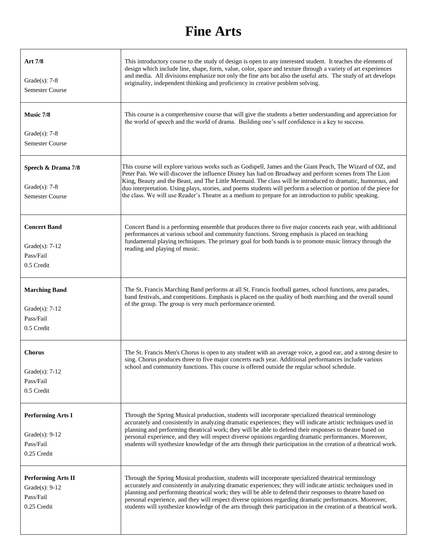#### **Fine Arts**

| Art 7/8<br>Grade $(s)$ : 7-8<br><b>Semester Course</b>                     | This introductory course to the study of design is open to any interested student. It teaches the elements of<br>design which include line, shape, form, value, color, space and texture through a variety of art experiences<br>and media. All divisions emphasize not only the fine arts but also the useful arts. The study of art develops<br>originality, independent thinking and proficiency in creative problem solving.                                                                                                                                 |
|----------------------------------------------------------------------------|------------------------------------------------------------------------------------------------------------------------------------------------------------------------------------------------------------------------------------------------------------------------------------------------------------------------------------------------------------------------------------------------------------------------------------------------------------------------------------------------------------------------------------------------------------------|
| Music 7/8<br>Grade $(s)$ : 7-8<br><b>Semester Course</b>                   | This course is a comprehensive course that will give the students a better understanding and appreciation for<br>the world of speech and the world of drama. Building one's self confidence is a key to success.                                                                                                                                                                                                                                                                                                                                                 |
| Speech & Drama 7/8<br>Grade $(s)$ : 7-8<br><b>Semester Course</b>          | This course will explore various works such as Godspell, James and the Giant Peach, The Wizard of OZ, and<br>Peter Pan. We will discover the influence Disney has had on Broadway and perform scenes from The Lion<br>King, Beauty and the Beast, and The Little Mermaid. The class will be introduced to dramatic, humorous, and<br>duo interpretation. Using plays, stories, and poems students will perform a selection or portion of the piece for<br>the class. We will use Reader's Theatre as a medium to prepare for an introduction to public speaking. |
| <b>Concert Band</b><br>Grade $(s)$ : 7-12<br>Pass/Fail<br>0.5 Credit       | Concert Band is a performing ensemble that produces three to five major concerts each year, with additional<br>performances at various school and community functions. Strong emphasis is placed on teaching<br>fundamental playing techniques. The primary goal for both bands is to promote music literacy through the<br>reading and playing of music.                                                                                                                                                                                                        |
| <b>Marching Band</b><br>Grade $(s)$ : 7-12<br>Pass/Fail<br>0.5 Credit      | The St. Francis Marching Band performs at all St. Francis football games, school functions, area parades,<br>band festivals, and competitions. Emphasis is placed on the quality of both marching and the overall sound<br>of the group. The group is very much performance oriented.                                                                                                                                                                                                                                                                            |
| <b>Chorus</b><br>Grade $(s)$ : 7-12<br>Pass/Fail<br>0.5 Credit             | The St. Francis Men's Chorus is open to any student with an average voice, a good ear, and a strong desire to<br>sing. Chorus produces three to five major concerts each year. Additional performances include various<br>school and community functions. This course is offered outside the regular school schedule.                                                                                                                                                                                                                                            |
| <b>Performing Arts I</b><br>Grade $(s)$ : 9-12<br>Pass/Fail<br>0.25 Credit | Through the Spring Musical production, students will incorporate specialized theatrical terminology<br>accurately and consistently in analyzing dramatic experiences; they will indicate artistic techniques used in<br>planning and performing theatrical work; they will be able to defend their responses to theatre based on<br>personal experience, and they will respect diverse opinions regarding dramatic performances. Moreover,<br>students will synthesize knowledge of the arts through their participation in the creation of a theatrical work.   |
| <b>Performing Arts II</b><br>Grade(s): 9-12<br>Pass/Fail<br>0.25 Credit    | Through the Spring Musical production, students will incorporate specialized theatrical terminology<br>accurately and consistently in analyzing dramatic experiences; they will indicate artistic techniques used in<br>planning and performing theatrical work; they will be able to defend their responses to theatre based on<br>personal experience, and they will respect diverse opinions regarding dramatic performances. Moreover,<br>students will synthesize knowledge of the arts through their participation in the creation of a theatrical work.   |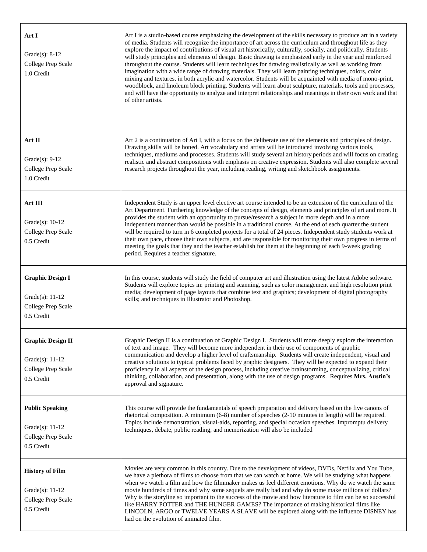| Art I<br>Grade(s): $8-12$<br>College Prep Scale<br>1.0 Credit                     | Art I is a studio-based course emphasizing the development of the skills necessary to produce art in a variety<br>of media. Students will recognize the importance of art across the curriculum and throughout life as they<br>explore the impact of contributions of visual art historically, culturally, socially, and politically. Students<br>will study principles and elements of design. Basic drawing is emphasized early in the year and reinforced<br>throughout the course. Students will learn techniques for drawing realistically as well as working from<br>imagination with a wide range of drawing materials. They will learn painting techniques, colors, color<br>mixing and textures, in both acrylic and watercolor. Students will be acquainted with media of mono-print,<br>woodblock, and linoleum block printing. Students will learn about sculpture, materials, tools and processes,<br>and will have the opportunity to analyze and interpret relationships and meanings in their own work and that<br>of other artists. |
|-----------------------------------------------------------------------------------|------------------------------------------------------------------------------------------------------------------------------------------------------------------------------------------------------------------------------------------------------------------------------------------------------------------------------------------------------------------------------------------------------------------------------------------------------------------------------------------------------------------------------------------------------------------------------------------------------------------------------------------------------------------------------------------------------------------------------------------------------------------------------------------------------------------------------------------------------------------------------------------------------------------------------------------------------------------------------------------------------------------------------------------------------|
| Art II<br>Grade $(s)$ : 9-12<br>College Prep Scale<br>1.0 Credit                  | Art 2 is a continuation of Art I, with a focus on the deliberate use of the elements and principles of design.<br>Drawing skills will be honed. Art vocabulary and artists will be introduced involving various tools,<br>techniques, mediums and processes. Students will study several art history periods and will focus on creating<br>realistic and abstract compositions with emphasis on creative expression. Students will also complete several<br>research projects throughout the year, including reading, writing and sketchbook assignments.                                                                                                                                                                                                                                                                                                                                                                                                                                                                                            |
| Art III<br>Grade(s): $10-12$<br>College Prep Scale<br>0.5 Credit                  | Independent Study is an upper level elective art course intended to be an extension of the curriculum of the<br>Art Department. Furthering knowledge of the concepts of design, elements and principles of art and more. It<br>provides the student with an opportunity to pursue/research a subject in more depth and in a more<br>independent manner than would be possible in a traditional course. At the end of each quarter the student<br>will be required to turn in 6 completed projects for a total of 24 pieces. Independent study students work at<br>their own pace, choose their own subjects, and are responsible for monitoring their own progress in terms of<br>meeting the goals that they and the teacher establish for them at the beginning of each 9-week grading<br>period. Requires a teacher signature.                                                                                                                                                                                                                    |
| <b>Graphic Design I</b><br>Grade(s): $11-12$<br>College Prep Scale<br>0.5 Credit  | In this course, students will study the field of computer art and illustration using the latest Adobe software.<br>Students will explore topics in: printing and scanning, such as color management and high resolution print<br>media; development of page layouts that combine text and graphics; development of digital photography<br>skills; and techniques in Illustrator and Photoshop.                                                                                                                                                                                                                                                                                                                                                                                                                                                                                                                                                                                                                                                       |
| <b>Graphic Design II</b><br>Grade(s): $11-12$<br>College Prep Scale<br>0.5 Credit | Graphic Design II is a continuation of Graphic Design I. Students will more deeply explore the interaction<br>of text and image. They will become more independent in their use of components of graphic<br>communication and develop a higher level of craftsmanship. Students will create independent, visual and<br>creative solutions to typical problems faced by graphic designers. They will be expected to expand their<br>proficiency in all aspects of the design process, including creative brainstorming, conceptualizing, critical<br>thinking, collaboration, and presentation, along with the use of design programs. Requires Mrs. Austin's<br>approval and signature.                                                                                                                                                                                                                                                                                                                                                              |
| <b>Public Speaking</b><br>Grade(s): $11-12$<br>College Prep Scale<br>0.5 Credit   | This course will provide the fundamentals of speech preparation and delivery based on the five canons of<br>rhetorical composition. A minimum (6-8) number of speeches (2-10 minutes in length) will be required.<br>Topics include demonstration, visual-aids, reporting, and special occasion speeches. Impromptu delivery<br>techniques, debate, public reading, and memorization will also be included                                                                                                                                                                                                                                                                                                                                                                                                                                                                                                                                                                                                                                           |
| <b>History of Film</b><br>Grade $(s)$ : 11-12<br>College Prep Scale<br>0.5 Credit | Movies are very common in this country. Due to the development of videos, DVDs, Netflix and You Tube,<br>we have a plethora of films to choose from that we can watch at home. We will be studying what happens<br>when we watch a film and how the filmmaker makes us feel different emotions. Why do we watch the same<br>movie hundreds of times and why some sequels are really bad and why do some make millions of dollars?<br>Why is the storyline so important to the success of the movie and how literature to film can be so successful<br>like HARRY POTTER and THE HUNGER GAMES? The importance of making historical films like<br>LINCOLN, ARGO or TWELVE YEARS A SLAVE will be explored along with the influence DISNEY has<br>had on the evolution of animated film.                                                                                                                                                                                                                                                                 |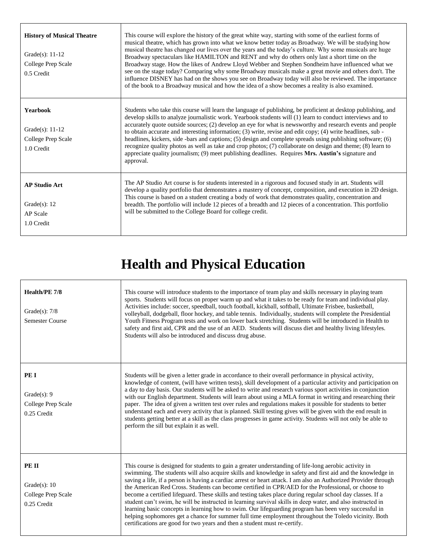| <b>History of Musical Theatre</b><br>Grade $(s)$ : 11-12<br>College Prep Scale<br>0.5 Credit | This course will explore the history of the great white way, starting with some of the earliest forms of<br>musical theatre, which has grown into what we know better today as Broadway. We will be studying how<br>musical theatre has changed our lives over the years and the today's culture. Why some musicals are huge<br>Broadway spectaculars like HAMILTON and RENT and why do others only last a short time on the<br>Broadway stage. How the likes of Andrew Lloyd Webber and Stephen Sondheim have influenced what we<br>see on the stage today? Comparing why some Broadway musicals make a great movie and others don't. The<br>influence DISNEY has had on the shows you see on Broadway today will also be reviewed. The importance<br>of the book to a Broadway musical and how the idea of a show becomes a reality is also examined. |
|----------------------------------------------------------------------------------------------|---------------------------------------------------------------------------------------------------------------------------------------------------------------------------------------------------------------------------------------------------------------------------------------------------------------------------------------------------------------------------------------------------------------------------------------------------------------------------------------------------------------------------------------------------------------------------------------------------------------------------------------------------------------------------------------------------------------------------------------------------------------------------------------------------------------------------------------------------------|
| <b>Yearbook</b><br>Grade $(s)$ : 11-12<br>College Prep Scale<br>1.0 Credit                   | Students who take this course will learn the language of publishing, be proficient at desktop publishing, and<br>develop skills to analyze journalistic work. Yearbook students will (1) learn to conduct interviews and to<br>accurately quote outside sources; (2) develop an eye for what is newsworthy and research events and people<br>to obtain accurate and interesting information; (3) write, revise and edit copy; (4) write headlines, sub -<br>headlines, kickers, side -bars and captions; (5) design and complete spreads using publishing software; (6)<br>recognize quality photos as well as take and crop photos; (7) collaborate on design and theme; (8) learn to<br>appreciate quality journalism; (9) meet publishing deadlines. Requires Mrs. Austin's signature and<br>approval.                                               |
| <b>AP Studio Art</b><br>Grade $(s)$ : 12<br><b>AP</b> Scale<br>1.0 Credit                    | The AP Studio Art course is for students interested in a rigorous and focused study in art. Students will<br>develop a quality portfolio that demonstrates a mastery of concept, composition, and execution in 2D design.<br>This course is based on a student creating a body of work that demonstrates quality, concentration and<br>breadth. The portfolio will include 12 pieces of a breadth and 12 pieces of a concentration. This portfolio<br>will be submitted to the College Board for college credit.                                                                                                                                                                                                                                                                                                                                        |

## **Health and Physical Education**

| Health/PE 7/8<br>Grade $(s)$ : 7/8<br><b>Semester Course</b>     | This course will introduce students to the importance of team play and skills necessary in playing team<br>sports. Students will focus on proper warm up and what it takes to be ready for team and individual play.<br>Activities include: soccer, speedball, touch football, kickball, softball, Ultimate Frisbee, basketball,<br>volleyball, dodgeball, floor hockey, and table tennis. Individually, students will complete the Presidential<br>Youth Fitness Program tests and work on lower back stretching. Students will be introduced in Health to<br>safety and first aid, CPR and the use of an AED. Students will discuss diet and healthy living lifestyles.<br>Students will also be introduced and discuss drug abuse.                                                                                                                                                                                                                                    |
|------------------------------------------------------------------|--------------------------------------------------------------------------------------------------------------------------------------------------------------------------------------------------------------------------------------------------------------------------------------------------------------------------------------------------------------------------------------------------------------------------------------------------------------------------------------------------------------------------------------------------------------------------------------------------------------------------------------------------------------------------------------------------------------------------------------------------------------------------------------------------------------------------------------------------------------------------------------------------------------------------------------------------------------------------|
| PE I<br>Grade $(s)$ : 9<br>College Prep Scale<br>0.25 Credit     | Students will be given a letter grade in accordance to their overall performance in physical activity,<br>knowledge of content, (will have written tests), skill development of a particular activity and participation on<br>a day to day basis. Our students will be asked to write and research various sport activities in conjunction<br>with our English department. Students will learn about using a MLA format in writing and researching their<br>paper. The idea of given a written test over rules and regulations makes it possible for students to better<br>understand each and every activity that is planned. Skill testing gives will be given with the end result in<br>students getting better at a skill as the class progresses in game activity. Students will not only be able to<br>perform the sill but explain it as well.                                                                                                                    |
| PE II<br>Grade $(s)$ : 10<br>College Prep Scale<br>$0.25$ Credit | This course is designed for students to gain a greater understanding of life-long aerobic activity in<br>swimming. The students will also acquire skills and knowledge in safety and first aid and the knowledge in<br>saving a life, if a person is having a cardiac arrest or heart attack. I am also an Authorized Provider through<br>the American Red Cross. Students can become certified in CPR/AED for the Professional, or choose to<br>become a certified lifeguard. These skills and testing takes place during regular school day classes. If a<br>student can't swim, he will be instructed in learning survival skills in deep water, and also instructed in<br>learning basic concepts in learning how to swim. Our lifeguarding program has been very successful in<br>helping sophomores get a chance for summer full time employment throughout the Toledo vicinity. Both<br>certifications are good for two years and then a student must re-certify. |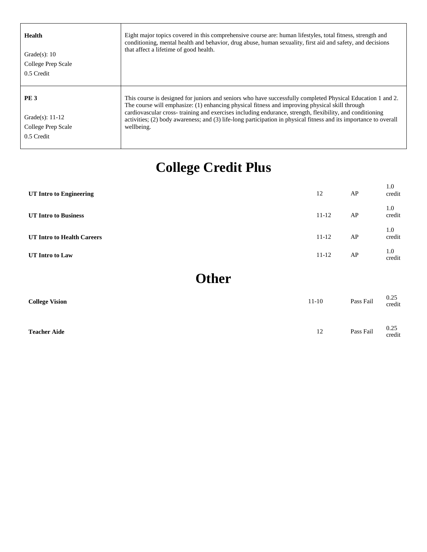| <b>Health</b><br>Grade $(s)$ : 10<br>College Prep Scale<br>0.5 Credit | Eight major topics covered in this comprehensive course are: human lifestyles, total fitness, strength and<br>conditioning, mental health and behavior, drug abuse, human sexuality, first aid and safety, and decisions<br>that affect a lifetime of good health.                                                                                                                                                                                           |
|-----------------------------------------------------------------------|--------------------------------------------------------------------------------------------------------------------------------------------------------------------------------------------------------------------------------------------------------------------------------------------------------------------------------------------------------------------------------------------------------------------------------------------------------------|
| <b>PE3</b><br>Grade(s): $11-12$<br>College Prep Scale<br>0.5 Credit   | This course is designed for juniors and seniors who have successfully completed Physical Education 1 and 2.<br>The course will emphasize: (1) enhancing physical fitness and improving physical skill through<br>cardiovascular cross-training and exercises including endurance, strength, flexibility, and conditioning<br>activities; (2) body awareness; and (3) life-long participation in physical fitness and its importance to overall<br>wellbeing. |

## **College Credit Plus**

| <b>UT Intro to Engineering</b> | 12        | AP | 1.0<br>credit |
|--------------------------------|-----------|----|---------------|
| <b>UT Intro to Business</b>    | $11 - 12$ | AP | 1.0<br>credit |
| UT Intro to Health Careers     | $11 - 12$ | AP | 1.0<br>credit |
| UT Intro to Law                | $11 - 12$ | AP | 1.0<br>credit |

**Other**

| <b>College Vision</b> | $11-10$ | Pass Fail | 0.25<br>credit   |
|-----------------------|---------|-----------|------------------|
| <b>Teacher Aide</b>   | 12      | Pass Fail | $0.25$<br>credit |